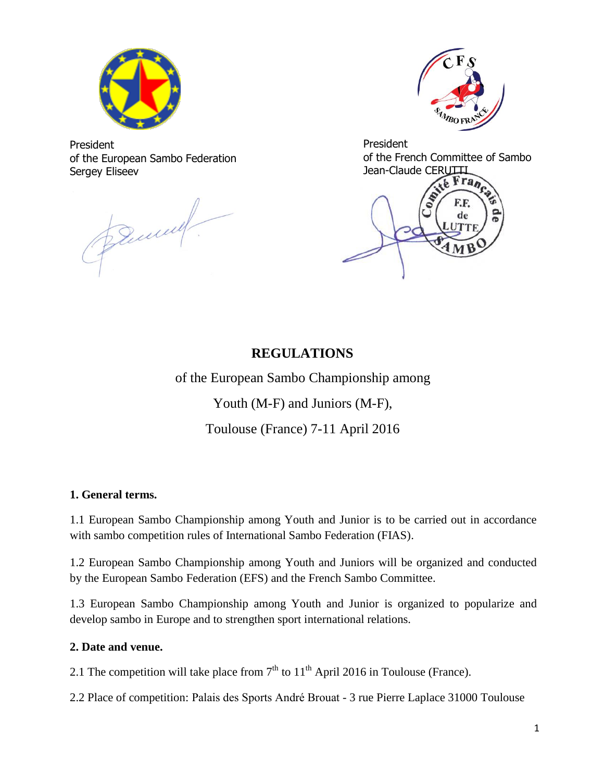

President of the European Sambo Federation Sergey Eliseev

During.



President of the French Committee of Sambo

Jean-Claude CERUTTI de

### **REGULATIONS**

of the European Sambo Championship among

Youth (M-F) and Juniors (M-F),

Toulouse (France) 7-11 April 2016

### **1. General terms.**

1.1 European Sambo Championship among Youth and Junior is to be carried out in accordance with sambo competition rules of International Sambo Federation (FIAS).

1.2 European Sambo Championship among Youth and Juniors will be organized and conducted by the European Sambo Federation (EFS) and the French Sambo Committee.

1.3 European Sambo Championship among Youth and Junior is organized to popularize and develop sambo in Europe and to strengthen sport international relations.

### **2. Date and venue.**

2.1 The competition will take place from  $7<sup>th</sup>$  to  $11<sup>th</sup>$  April 2016 in Toulouse (France).

2.2 Place of competition: Palais des Sports André Brouat - 3 rue Pierre Laplace 31000 Toulouse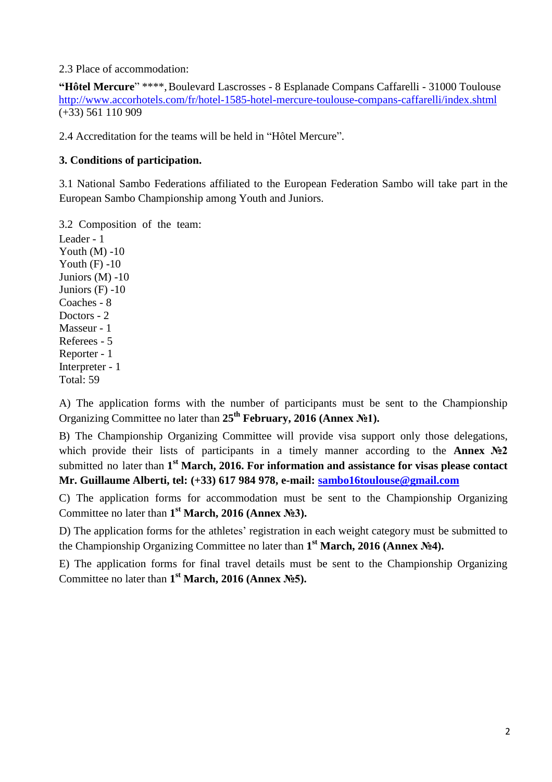2.3 Place of accommodation:

**"Hôtel Mercure**" \*\*\*\*,Boulevard Lascrosses - 8 Esplanade Compans Caffarelli - 31000 Toulouse <http://www.accorhotels.com/fr/hotel-1585-hotel-mercure-toulouse-compans-caffarelli/index.shtml> (+33) 561 110 909

2.4 Accreditation for the teams will be held in "Hôtel Mercure".

### **3. Conditions of participation.**

3.1 National Sambo Federations affiliated to the European Federation Sambo will take part in the European Sambo Championship among Youth and Juniors.

3.2 Composition of the team:

Leader - 1 Youth  $(M) -10$ Youth  $(F) -10$ Juniors (M) -10 Juniors (F) -10 Coaches - 8 Doctors - 2 Masseur - 1 Referees - 5 Reporter - 1 Interpreter - 1 Total: 59

A) The application forms with the number of participants must be sent to the Championship Organizing Committee no later than **25th February, 2016 (Annex №1).**

B) The Championship Organizing Committee will provide visa support only those delegations, which provide their lists of participants in a timely manner according to the **Annex №2** submitted no later than **1 st March, 2016. For information and assistance for visas please contact Mr. Guillaume Alberti, tel: (+33) 617 984 978, e-mail: [sambo16toulouse@gmail.com](mailto:sambo16toulouse@gmail.com)**

C) The application forms for accommodation must be sent to the Championship Organizing Committee no later than **1 st March, 2016 (Annex №3).**

D) The application forms for the athletes' registration in each weight category must be submitted to the Championship Organizing Committee no later than **1 st March, 2016 (Annex №4).**

E) The application forms for final travel details must be sent to the Championship Organizing Committee no later than **1 st March, 2016 (Annex №5).**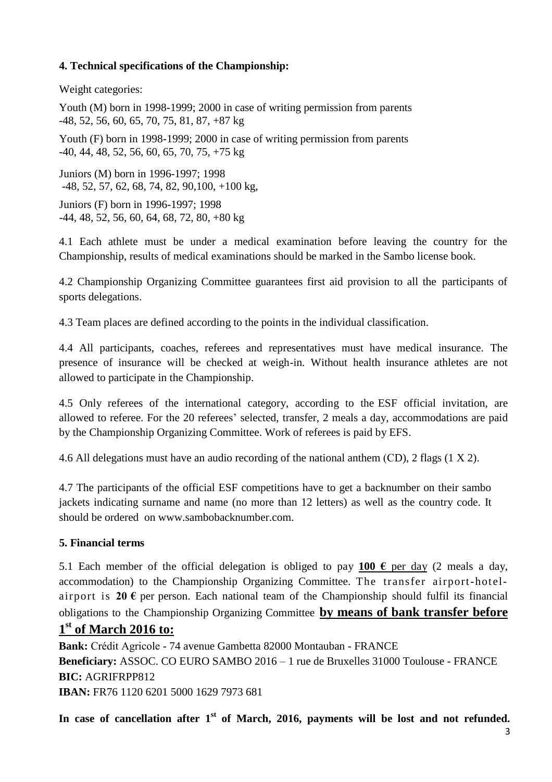### **4. Technical specifications of the Championship:**

Weight categories:

Youth (M) born in 1998-1999; 2000 in case of writing permission from parents -48, 52, 56, 60, 65, 70, 75, 81, 87, +87 kg

Youth (F) born in 1998-1999; 2000 in case of writing permission from parents -40, 44, 48, 52, 56, 60, 65, 70, 75, +75 kg

Juniors (M) born in 1996-1997; 1998 -48, 52, 57, 62, 68, 74, 82, 90,100, +100 kg,

Juniors (F) born in 1996-1997; 1998 -44, 48, 52, 56, 60, 64, 68, 72, 80, +80 kg

4.1 Each athlete must be under a medical examination before leaving the country for the Championship, results of medical examinations should be marked in the Sambo license book.

4.2 Championship Organizing Committee guarantees first aid provision to all the participants of sports delegations.

4.3 Team places are defined according to the points in the individual classification.

4.4 All participants, coaches, referees and representatives must have medical insurance. The presence of insurance will be checked at weigh-in. Without health insurance athletes are not allowed to participate in the Championship.

4.5 Only referees of the international category, according to the ESF official invitation, are allowed to referee. For the 20 referees' selected, transfer, 2 meals a day, accommodations are paid by the Championship Organizing Committee. Work of referees is paid by EFS.

4.6 All delegations must have an audio recording of the national anthem (СD), 2 flags (1 X 2).

4.7 The participants of the official ESF competitions have to get a backnumber on their sambo jackets indicating surname and name (no more than 12 letters) as well as the country code. It should be ordered on www.sambobacknumber.com.

### **5. Financial terms**

5.1 Each member of the official delegation is obliged to pay 100  $\epsilon$  per day (2 meals a day, accommodation) to the Championship Organizing Committee. The transfer airport-hotelairport is 20  $\epsilon$  per person. Each national team of the Championship should fulfil its financial obligations to the Championship Organizing Committee **by means of bank transfer before**

## **1 st of March 2016 to:**

**Bank:** Crédit Agricole - 74 avenue Gambetta 82000 Montauban - FRANCE **Beneficiary:** ASSOC. CO EURO SAMBO 2016 – 1 rue de Bruxelles 31000 Toulouse - FRANCE **BIC:** AGRIFRPP812 **IBAN:** FR76 1120 6201 5000 1629 7973 681

In case of cancellation after 1<sup>st</sup> of March, 2016, payments will be lost and not refunded.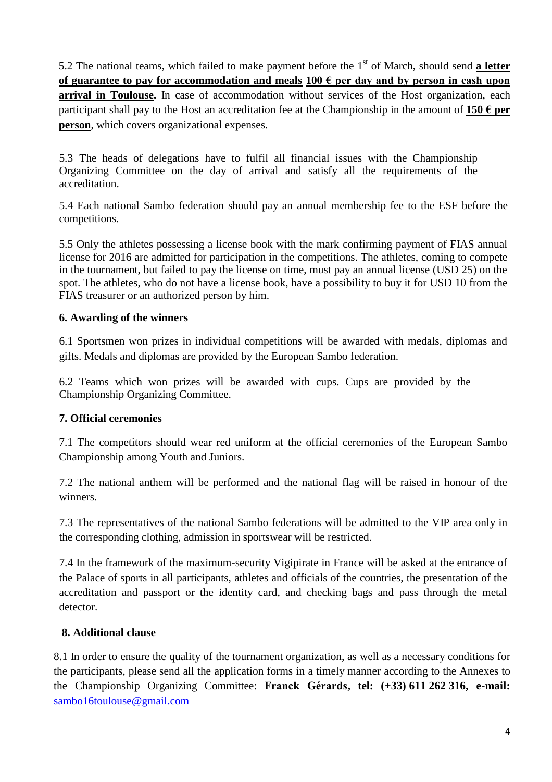5.2 The national teams, which failed to make payment before the 1<sup>st</sup> of March, should send **a letter of guarantee to pay for accommodation and meals 100 € per day and by person in cash upon arrival in Toulouse.** In case of accommodation without services of the Host organization, each participant shall pay to the Host an accreditation fee at the Championship in the amount of  $150 \text{ }\epsilon$  per **person**, which covers organizational expenses.

5.3 The heads of delegations have to fulfil all financial issues with the Championship Organizing Committee on the day of arrival and satisfy all the requirements of the accreditation.

5.4 Each national Sambo federation should pay an annual membership fee to the ESF before the competitions.

5.5 Only the athletes possessing a license book with the mark confirming payment of FIAS annual license for 2016 are admitted for participation in the competitions. The athletes, coming to compete in the tournament, but failed to pay the license on time, must pay an annual license (USD 25) on the spot. The athletes, who do not have a license book, have a possibility to buy it for USD 10 from the FIAS treasurer or an authorized person by him.

### **6. Awarding of the winners**

6.1 Sportsmen won prizes in individual competitions will be awarded with medals, diplomas and gifts. Medals and diplomas are provided by the European Sambo federation.

6.2 Teams which won prizes will be awarded with cups. Cups are provided by the Championship Organizing Committee.

### **7. Official ceremonies**

7.1 The competitors should wear red uniform at the official ceremonies of the European Sambo Championship among Youth and Juniors.

7.2 The national anthem will be performed and the national flag will be raised in honour of the winners.

7.3 The representatives of the national Sambo federations will be admitted to the VIP area only in the corresponding clothing, admission in sportswear will be restricted.

7.4 In the framework of the maximum-security Vigipirate in France will be asked at the entrance of the Palace of sports in all participants, athletes and officials of the countries, the presentation of the accreditation and passport or the identity card, and checking bags and pass through the metal detector.

### **8. Additional clause**

8.1 In order to ensure the quality of the tournament organization, as well as a necessary conditions for the participants, please send all the application forms in a timely manner according to the Annexes to the Championship Organizing Committee: **Franck Gérards, tel: (+33) 611 262 316, e-mail:**  [sambo16toulouse@gmail.com](mailto:sambo16toulouse@gmail.com)